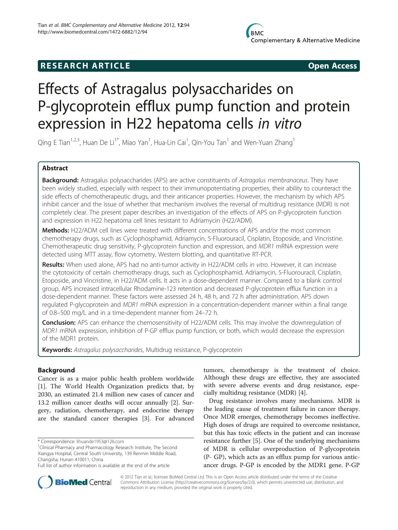## **RESEARCH ARTICLE Example 2018 12:00 Open Access**

# Effects of Astragalus polysaccharides on P-glycoprotein efflux pump function and protein expression in H22 hepatoma cells in vitro

Qing E Tian<sup>1,2,3</sup>, Huan De Li<sup>1\*</sup>, Miao Yan<sup>1</sup>, Hua-Lin Cai<sup>1</sup>, Qin-You Tan<sup>1</sup> and Wen-Yuan Zhang<sup>1</sup>

## Abstract

Background: Astragalus polysaccharides (APS) are active constituents of Astragalus membranaceus. They have been widely studied, especially with respect to their immunopotentiating properties, their ability to counteract the side effects of chemotherapeutic drugs, and their anticancer properties. However, the mechanism by which APS inhibit cancer and the issue of whether that mechanism involves the reversal of multidrug resistance (MDR) is not completely clear. The present paper describes an investigation of the effects of APS on P-glycoprotein function and expression in H22 hepatoma cell lines resistant to Adriamycin (H22/ADM).

**Methods:** H22/ADM cell lines were treated with different concentrations of APS and/or the most common chemotherapy drugs, such as Cyclophosphamid, Adriamycin, 5-Fluorouracil, Cisplatin, Etoposide, and Vincristine. Chemotherapeutic drug sensitivity, P-glycoprotein function and expression, and MDR1 mRNA expression were detected using MTT assay, flow cytometry, Western blotting, and quantitative RT-PCR.

Results: When used alone, APS had no anti-tumor activity in H22/ADM cells in vitro. However, it can increase the cytotoxicity of certain chemotherapy drugs, such as Cyclophosphamid, Adriamycin, 5-Fluorouracil, Cisplatin, Etoposide, and Vincristine, in H22/ADM cells. It acts in a dose-dependent manner. Compared to a blank control group, APS increased intracellular Rhodamine-123 retention and decreased P-glycoprotein efflux function in a dose-dependent manner. These factors were assessed 24 h, 48 h, and 72 h after administration. APS down regulated P-glycoprotein and MDR1 mRNA expression in a concentration-dependent manner within a final range of 0.8–500 mg/L and in a time-dependent manner from 24–72 h.

Conclusion: APS can enhance the chemosensitivity of H22/ADM cells. This may involve the downregulation of MDR1 mRNA expression, inhibition of P-GP efflux pump function, or both, which would decrease the expression of the MDR1 protein.

Keywords: Astragalus polysaccharides, Multidrug resistance, P-glycoprotein

## Background

Cancer is as a major public health problem worldwide [[1\]](#page-7-0). The World Health Organization predicts that, by 2030, an estimated 21.4 million new cases of cancer and 13.2 million cancer deaths will occur annually [[2\]](#page-7-0). Surgery, radiation, chemotherapy, and endocrine therapy are the standard cancer therapies [[3\]](#page-7-0). For advanced

tumors, chemotherapy is the treatment of choice. Although these drugs are effective, they are associated with severe adverse events and drug resistance, especially multidrug resistance (MDR) [[4\]](#page-7-0).

Drug resistance involves many mechanisms. MDR is the leading cause of treatment failure in cancer therapy. Once MDR emerges, chemotherapy becomes ineffective. High doses of drugs are required to overcome resistance, but this has toxic effects in the patient and can increase resistance further [[5\]](#page-7-0). One of the underlying mechanisms of MDR is cellular overproduction of P-glycoprotein (P- GP), which acts as an efflux pump for various anticancer drugs. P-GP is encoded by the MDR1 gene. P-GP



© 2012 Tian et al.; licensee BioMed Central Ltd. This is an Open Access article distributed under the terms of the Creative Commons Attribution License [\(http://creativecommons.org/licenses/by/2.0\)](http://creativecommons.org/licenses/by/2.0), which permits unrestricted use, distribution, and reproduction in any medium, provided the original work is properly cited.

<sup>\*</sup> Correspondence: [lihuande1953@126.com](mailto:lihuande1953@126.com) <sup>1</sup>

<sup>&</sup>lt;sup>1</sup> Clinical Pharmacy and Pharmacology Research Institute, The Second Xiangya Hospital, Central South University, 139 Renmin Middle Road, Changsha, Hunan 410011, China

Full list of author information is available at the end of the article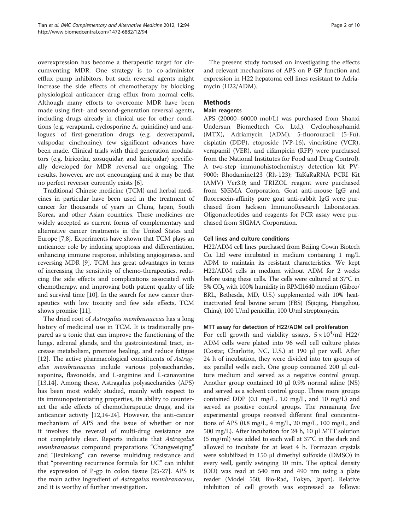overexpression has become a therapeutic target for circumventing MDR. One strategy is to co-administer efflux pump inhibitors, but such reversal agents might increase the side effects of chemotherapy by blocking physiological anticancer drug efflux from normal cells. Although many efforts to overcome MDR have been made using first- and second-generation reversal agents, including drugs already in clinical use for other conditions (e.g. verapamil, cyclosporine A, quinidine) and analogues of first-generation drugs (e.g. dexverapamil, valspodar, cinchonine), few significant advances have been made. Clinical trials with third generation modulators (e.g. biricodar, zosuquidar, and laniquidar) specifically developed for MDR reversal are ongoing. The results, however, are not encouraging and it may be that no perfect reverser currently exists [[6](#page-8-0)].

Traditional Chinese medicine (TCM) and herbal medicines in particular have been used in the treatment of cancer for thousands of years in China, Japan, South Korea, and other Asian countries. These medicines are widely accepted as current forms of complementary and alternative cancer treatments in the United States and Europe [\[7,8](#page-8-0)]. Experiments have shown that TCM plays an anticancer role by inducing apoptosis and differentiation, enhancing immune response, inhibiting angiogenesis, and reversing MDR [\[9](#page-8-0)]. TCM has great advantages in terms of increasing the sensitivity of chemo-therapeutics, reducing the side effects and complications associated with chemotherapy, and improving both patient quality of life and survival time [\[10\]](#page-8-0). In the search for new cancer therapeutics with low toxicity and few side effects, TCM shows promise [\[11\]](#page-8-0).

The dried root of Astragalus membranaceus has a long history of medicinal use in TCM. It is traditionally prepared as a tonic that can improve the functioning of the lungs, adrenal glands, and the gastrointestinal tract, increase metabolism, promote healing, and reduce fatigue [[12\]](#page-8-0). The active pharmacological constituents of Astragalus membranaceus include various polysaccharides, saponins, flavonoids, and L-arginine and L-canavanine [[13,14\]](#page-8-0). Among these, Astragalus polysaccharides (APS) has been most widely studied, mainly with respect to its immunopotentiating properties, its ability to counteract the side effects of chemotherapeutic drugs, and its anticancer activity [\[12,14-24](#page-8-0)]. However, the anti-cancer mechanism of APS and the issue of whether or not it involves the reversal of multi-drug resistance are not completely clear. Reports indicate that Astragalus membranaceus compound preparations "Changweiqing" and "Jiexinkang" can reverse multidrug resistance and that "preventing recurrence formula for UC" can inhibit the expression of P-gp in colon tissue [[25-27](#page-8-0)]. APS is the main active ingredient of Astragalus membranaceus, and it is worthy of further investigation.

The present study focused on investigating the effects and relevant mechanisms of APS on P-GP function and expression in H22 hepatoma cell lines resistant to Adriamycin (H22/ADM).

## Methods

#### Main reagents

APS (20000–60000 mol/L) was purchased from Shanxi Undersun Biomedtech Co. Ltd.). Cyclophosphamid (MTX), Adriamycin (ADM), 5-fluorouracil (5-Fu), cisplatin (DDP), etoposide (VP-16), vincristine (VCR), verapamil (VER), and rifampicin (RFP) were purchased from the National Institutes for Food and Drug Control). A two-step immunohistochemistry detection kit PV-9000; Rhodamine123 (Rh-123); TaKaRaRNA PCRI Kit (AMV) Ver3.0; and TRIZOL reagent were purchased from SIGMA Corporation. Goat anti-mouse IgG and fluorescein-affinity pure goat anti-rabbit IgG were purchased from Jackson ImmunoResearch Laboratories. Oligonucleotides and reagents for PCR assay were purchased from SIGMA Corporation.

#### Cell lines and culture conditions

H22/ADM cell lines purchased from Beijing Cowin Biotech Co. Ltd were incubated in medium containing 1 mg/L ADM to maintain its resistant characteristics. We kept H22/ADM cells in medium without ADM for 2 weeks before using these cells. The cells were cultured at 37°C in  $5\%$  CO<sub>2</sub> with 100% humidity in RPMI1640 medium (Gibco/ BRL, Bethesda, MD, U.S.) supplemented with 10% heatinactivated fetal bovine serum (FBS) (Sijiqing, Hangzhou, China), 100 U/ml penicillin, 100 U/ml streptomycin.

#### MTT assay for detection of H22/ADM cell proliferation

For cell growth and viability assays,  $5 \times 10^4$ /ml H22/ ADM cells were plated into 96 well cell culture plates (Costar, Charlotte, NC, U.S.) at 190 μl per well. After 24 h of incubation, they were divided into ten groups of six parallel wells each. One group contained 200 μl culture medium and served as a negative control group. Another group contained 10 μl 0.9% normal saline (NS) and served as a solvent control group. Three more groups contained DDP  $(0.1 \text{ mg/L}, 1.0 \text{ mg/L}, \text{ and } 10 \text{ mg/L})$  and served as positive control groups. The remaining five experimental groups received different final concentrations of APS (0.8 mg/L, 4 mg/L, 20 mg/L, 100 mg/L, and 500 mg/L). After incubation for 24 h, 10 μl MTT solution (5 mg/ml) was added to each well at 37°C in the dark and allowed to incubate for at least 4 h. Formazan crystals were solubilized in 150 μl dimethyl sulfoxide (DMSO) in every well, gently swinging 10 min. The optical density (OD) was read at 540 nm and 490 nm using a plate reader (Model 550; Bio-Rad, Tokyo, Japan). Relative inhibition of cell growth was expressed as follows: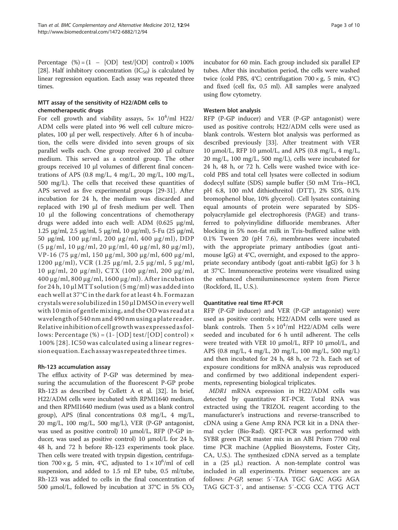Percentage  $(\%) = (1 - [OD] \text{test}/[OD] \text{control}) \times 100\%$ [[28](#page-8-0)]. Half inhibitory concentration  $(IC_{50})$  is calculated by linear regression equation. Each assay was repeated three times.

## MTT assay of the sensitivity of H22/ADM cells to chemotherapeutic drugs

For cell growth and viability assays,  $5 \times 10^4$ /ml H22/ ADM cells were plated into 96 well cell culture microplates, 100 μl per well, respectively. After 6 h of incubation, the cells were divided into seven groups of six parallel wells each. One group received 200 μl culture medium. This served as a control group. The other groups received 10 μl volumes of different final concentrations of APS  $(0.8 \text{ mg/L}, 4 \text{ mg/L}, 20 \text{ mg/L}, 100 \text{ mg/L},$ 500 mg/L). The cells that received these quantities of APS served as five experimental groups [\[29-31](#page-8-0)]. After incubation for 24 h, the medium was discarded and replaced with 190 μl of fresh medium per well. Then 10 μl the following concentrations of chemotherapy drugs were added into each well: ADM (0.625 μg/ml, 1.25 μg/ml, 2.5 μg/ml, 5 μg/ml, 10 μg/ml), 5-Fu (25 μg/ml, 50 μg/ml, 100 μg/ml, 200 μg/ml, 400 μg/ml), DDP (5 μg/ml, 10 μg/ml, 20 μg/ml, 40 μg/ml, 80 μg/ml), VP-16 (75 μg/ml, 150 μg/ml, 300 μg/ml, 600 μg/ml, 1200 μg/ml), VCR (1.25 μg/ml, 2.5 μg/ml, 5 μg/ml, 10 μg/ml, 20 μg/ml), CTX (100 μg/ml, 200 μg/ml, 400 μg/ml, 800 μg/ml, 1600 μg/ml). After incubation for 24 h,  $10 \mu$ l MTT solution (5 mg/ml) was added into each well at 37°C in the dark for at least 4 h. Formazan crystalswere solubilizedin 150 μlDMSOineverywell with 10 min of gentle mixing, and the OD was read at a wavelengthof 540nmand 490nmusingaplate reader. Relativeinhibitionofcellgrowthwasexpressedasfollows: Percentage  $(\%) = (1 - [OD] \text{ test}/[OD] \text{ control}) \times$ 100% [[28\]](#page-8-0). IC50 was calculated using a linear regressionequation.Eachassaywasrepeatedthree times.

#### Rh-123 accumulation assay

The efflux activity of P-GP was determined by measuring the accumulation of the fluorescent P-GP probe Rh-123 as described by Collett A et al. [\[32](#page-8-0)]. In brief, H22/ADM cells were incubated with RPMI1640 medium, and then RPMI1640 medium (was used as a blank control group), APS (final concentrations 0.8 mg/L, 4 mg/L, 20 mg/L, 100 mg/L, 500 mg/L), VER (P-GP antagonist, was used as positive control) 10 μmol/L, RFP (P-GP inducer, was used as positive control) 10 μmol/L for 24 h, 48 h, and 72 h before Rh-123 experiments took place. Then cells were treated with trypsin digestion, centrifugation  $700 \times g$ , 5 min, 4°C, adjusted to  $1 \times 10^6$ /ml of cell suspension, and added to 1.5 ml EP tube, 0.5 ml/tube, Rh-123 was added to cells in the final concentration of 500 μmol/L, followed by incubation at 37°C in 5%  $CO<sub>2</sub>$  incubator for 60 min. Each group included six parallel EP tubes. After this incubation period, the cells were washed twice (cold PBS, 4°C; centrifugation  $700 \times g$ , 5 min, 4°C) and fixed (cell fix, 0.5 ml). All samples were analyzed using flow cytometry.

#### Western blot analysis

RFP (P-GP inducer) and VER (P-GP antagonist) were used as positive controls; H22/ADM cells were used as blank controls. Western blot analysis was performed as described previously [\[33\]](#page-8-0). After treatment with VER 10 μmol/L, RFP 10 μmol/L, and APS  $(0.8 \text{ mg/L}, 4 \text{ mg/L})$ 20 mg/L, 100 mg/L, 500 mg/L), cells were incubated for 24 h, 48 h, or 72 h. Cells were washed twice with icecold PBS and total cell lysates were collected in sodium dodecyl sulfate (SDS) sample buffer (50 mM Tris–HCl, pH 6.8, 100 mM dithiothreitol (DTT), 2% SDS, 0.1% bromophenol blue, 10% glycerol). Cell lysates containing equal amounts of protein were separated by SDSpolyacrylamide gel electrophoresis (PAGE) and transferred to polyvinylidine difluoride membranes. After blocking in 5% non-fat milk in Tris-buffered saline with 0.1% Tween 20 (pH 7.6), membranes were incubated with the appropriate primary antibodies (goat antimouse IgG) at 4°C, overnight, and exposed to the appropriate secondary antibody (goat anti-rabbit IgG) for 3 h at 37°C. Immunoreactive proteins were visualized using the enhanced chemiluminescence system from Pierce (Rockford, IL, U.S.).

#### Quantitative real time RT-PCR

RFP (P-GP inducer) and VER (P-GP antagonist) were used as positive controls; H22/ADM cells were used as blank controls. Then  $5 \times 10^4$ /ml H22/ADM cells were seeded and incubated for 6 h until adherent. The cells were treated with VER 10 μmol/L, RFP 10 μmol/L, and APS (0.8 mg/L, 4 mg/L, 20 mg/L, 100 mg/L, 500 mg/L) and then incubated for 24 h, 48 h, or 72 h. Each set of exposure conditions for mRNA analysis was reproduced and confirmed by two additional independent experiments, representing biological triplicates.

MDR1 mRNA expression in H22/ADM cells was detected by quantitative RT-PCR. Total RNA was extracted using the TRIZOL reagent according to the manufacturer's instructions and reverse-transcribed to cDNA using a Gene Amp RNA PCR kit in a DNA thermal cycler (Bio-Rad). QRT-PCR was performed with SYBR green PCR master mix in an ABI Prism 7700 real time PCR machine (Applied Biosystems, Foster City, CA, U.S.). The synthesized cDNA served as a template in a (25 μL) reaction. A non-template control was included in all experiments. Primer sequences are as follows: P-GP, sense: 5′-TAA TGC GAC AGG AGA TAG GCT-3′, and antisense: 5′-CCG CCA TTG ACT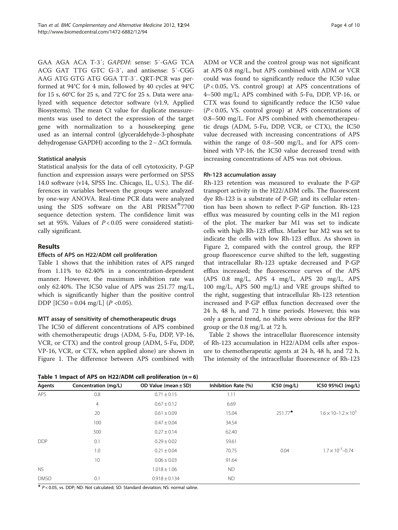GAA AGA ACA T-3′; GAPDH: sense: 5′-GAG TCA ACG GAT TTG GTC G-3′, and antisense: 5′-CGG AAG ATG GTG ATG GGA TT-3′. QRT-PCR was performed at 94°C for 4 min, followed by 40 cycles at 94°C for 15 s, 60°C for 25 s, and 72°C for 25 s. Data were analyzed with sequence detector software (v1.9, Applied Biosystems). The mean Ct value for duplicate measurements was used to detect the expression of the target gene with normalization to a housekeeping gene used as an internal control (glyceraldehyde-3-phosphate dehydrogenase GAPDH) according to the 2−ΔCt formula.

## Statistical analysis

Statistical analysis for the data of cell cytotoxicity, P-GP function and expression assays were performed on SPSS 14.0 software (v14, SPSS Inc. Chicago, IL, U.S.). The differences in variables between the groups were analyzed by one-way ANOVA. Real-time PCR data were analyzed using the SDS software on the ABI  $PRISM^{\omega}$ 7700 sequence detection system. The confidence limit was set at 95%. Values of  $P < 0.05$  were considered statistically significant.

## Results

## Effects of APS on H22/ADM cell proliferation

Table 1 shows that the inhibition rates of APS ranged from 1.11% to 62.40% in a concentration-dependent manner. However, the maximum inhibition rate was only 62.40%. The IC50 value of APS was 251.77 mg/L, which is significantly higher than the positive control DDP  $[IC50 = 0.04 \text{ mg/L}]$   $(P < 0.05)$ .

## MTT assay of sensitivity of chemotherapeutic drugs

The IC50 of different concentrations of APS combined with chemotherapeutic drugs (ADM, 5-Fu, DDP, VP-16, VCR, or CTX) and the control group (ADM, 5-Fu, DDP, VP-16, VCR, or CTX, when applied alone) are shown in Figure [1](#page-4-0). The difference between APS combined with

Table 1 Impact of APS on H22/ADM cell proliferation  $(n = 6)$ 

ADM or VCR and the control group was not significant at APS 0.8 mg/L, but APS combined with ADM or VCR could was found to significantly reduce the IC50 value  $(P<0.05$ , VS. control group) at APS concentrations of 4–500 mg/L; APS combined with 5-Fu, DDP, VP-16, or CTX was found to significantly reduce the IC50 value  $(P<0.05$ , VS. control group) at APS concentrations of 0.8–500 mg/L. For APS combined with chemotherapeutic drugs (ADM, 5-Fu, DDP, VCR, or CTX), the IC50 value decreased with increasing concentrations of APS within the range of 0.8–500 mg/L, and for APS combined with VP-16, the IC50 value decreased trend with increasing concentrations of APS was not obvious.

#### Rh-123 accumulation assay

Rh-123 retention was measured to evaluate the P-GP transport activity in the H22/ADM cells. The fluorescent dye Rh-123 is a substrate of P-GP, and its cellular retention has been shown to reflect P-GP function. Rh-123 efflux was measured by counting cells in the M1 region of the plot. The marker bar M1 was set to indicate cells with high Rh-123 efflux. Marker bar M2 was set to indicate the cells with low Rh-123 efflux. As shown in Figure [2,](#page-5-0) compared with the control group, the RFP group fluorescence curve shifted to the left, suggesting that intracellular Rh-123 uptake decreased and P-GP efflux increased; the fluorescence curves of the APS (APS 0.8 mg/L, APS 4 mg/L, APS 20 mg/L, APS 100 mg/L, APS 500 mg/L) and VRE groups shifted to the right, suggesting that intracellular Rh-123 retention increased and P-GP efflux function decreased over the 24 h, 48 h, and 72 h time periods. However, this was only a general trend, no shifts were obvious for the RFP group or the 0.8 mg/L at 72 h.

Table [2](#page-6-0) shows the intracellular fluorescence intensity of Rh-123 accumulation in H22/ADM cells after exposure to chemotherapeutic agents at 24 h, 48 h, and 72 h. The intensity of the intracellular fluorescence of Rh-123

| Agents      | Concentration (mg/L) | OD Value (mean $\pm$ SD) | Inhibition Rate (%) | $IC50$ (mg/L) | IC50 95%CI (mg/L)                 |
|-------------|----------------------|--------------------------|---------------------|---------------|-----------------------------------|
| APS         | 0.8                  | $0.71 \pm 0.15$          | 1.11                |               |                                   |
|             | 4                    | $0.67 \pm 0.12$          | 6.69                |               |                                   |
|             | 20                   | $0.61 \pm 0.09$          | 15.04               | $251.77*$     | $1.6 \times 10 - 1.2 \times 10^3$ |
|             | 100                  | $0.47 \pm 0.04$          | 34.54               |               |                                   |
|             | 500                  | $0.27 \pm 0.14$          | 62.40               |               |                                   |
| <b>DDP</b>  | 0.1                  | $0.29 \pm 0.02$          | 59.61               |               |                                   |
|             | 1.0                  | $0.21 \pm 0.04$          | 70.75               | 0.04          | $1.7 \times 10^{-3} - 0.74$       |
|             | 10                   | $0.06 \pm 0.03$          | 91.64               |               |                                   |
| <b>NS</b>   |                      | $1.018 \pm 1.06$         | <b>ND</b>           |               |                                   |
| <b>DMSO</b> | 0.1                  | $0.918 \pm 0.134$        | <b>ND</b>           |               |                                   |

 $*$  P < 0.05, vs. DDP; ND: Not calculated; SD: Standard deviation; NS: normal saline.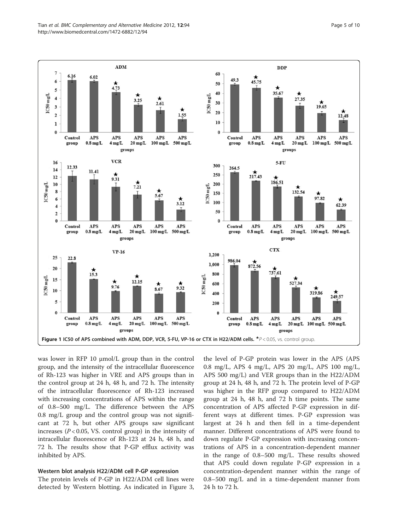<span id="page-4-0"></span>

was lower in RFP 10 μmol/L group than in the control group, and the intensity of the intracellular fluorescence of Rh-123 was higher in VRE and APS groups than in the control group at 24 h, 48 h, and 72 h. The intensity of the intracellular fluorescence of Rh-123 increased with increasing concentrations of APS within the range of 0.8–500 mg/L. The difference between the APS 0.8 mg/L group and the control group was not significant at 72 h, but other APS groups saw significant increases ( $P < 0.05$ , VS. control group) in the intensity of intracellular fluorescence of Rh-123 at 24 h, 48 h, and 72 h. The results show that P-GP efflux activity was inhibited by APS.

#### Western blot analysis H22/ADM cell P-GP expression

The protein levels of P-GP in H22/ADM cell lines were detected by Western blotting. As indicated in Figure [3](#page-6-0),

the level of P-GP protein was lower in the APS (APS 0.8 mg/L, APS 4 mg/L, APS 20 mg/L, APS 100 mg/L, APS 500 mg/L) and VER groups than in the H22/ADM group at 24 h, 48 h, and 72 h. The protein level of P-GP was higher in the RFP group compared to H22/ADM group at 24 h, 48 h, and 72 h time points. The same concentration of APS affected P-GP expression in different ways at different times. P-GP expression was largest at 24 h and then fell in a time-dependent manner. Different concentrations of APS were found to down regulate P-GP expression with increasing concentrations of APS in a concentration-dependent manner in the range of 0.8–500 mg/L. These results showed that APS could down regulate P-GP expression in a concentration-dependent manner within the range of 0.8–500 mg/L and in a time-dependent manner from 24 h to 72 h.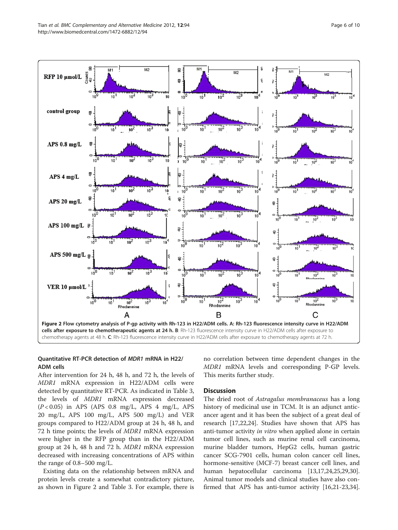<span id="page-5-0"></span>

## Quantitative RT-PCR detection of MDR1 mRNA in H22/ ADM cells

After intervention for 24 h, 48 h, and 72 h, the levels of MDR1 mRNA expression in H22/ADM cells were detected by quantitative RT-PCR. As indicated in Table [3](#page-6-0), the levels of MDR1 mRNA expression decreased  $(P<0.05)$  in APS (APS 0.8 mg/L, APS 4 mg/L, APS 20 mg/L, APS 100 mg/L, APS 500 mg/L) and VER groups compared to H22/ADM group at 24 h, 48 h, and 72 h time points; the levels of MDR1 mRNA expression were higher in the RFP group than in the H22/ADM group at 24 h, 48 h and 72 h. MDR1 mRNA expression decreased with increasing concentrations of APS within the range of 0.8–500 mg/L.

Existing data on the relationship between mRNA and protein levels create a somewhat contradictory picture, as shown in Figure 2 and Table [3.](#page-6-0) For example, there is

no correlation between time dependent changes in the MDR1 mRNA levels and corresponding P-GP levels. This merits further study.

## **Discussion**

The dried root of *Astragalus membranaceus* has a long history of medicinal use in TCM. It is an adjunct anticancer agent and it has been the subject of a great deal of research [\[17,22,24\]](#page-8-0). Studies have shown that APS has anti-tumor activity in vitro when applied alone in certain tumor cell lines, such as murine renal cell carcinoma, murine bladder tumors, HepG2 cells, human gastric cancer SCG-7901 cells, human colon cancer cell lines, hormone-sensitive (MCF-7) breast cancer cell lines, and human hepatocellular carcinoma [[13](#page-8-0),[17](#page-8-0),[24](#page-8-0),[25,29,30](#page-8-0)]. Animal tumor models and clinical studies have also confirmed that APS has anti-tumor activity [\[16,21-23,34](#page-8-0)].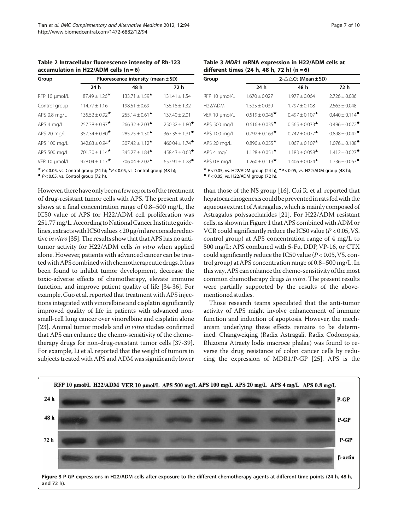<span id="page-6-0"></span>Table 2 Intracellular fluorescence intensity of Rh-123 accumulation in H22/ADM cells  $(n = 6)$ 

| Group         | Fluorescence intensity (mean ± SD) |                                                     |                                |  |
|---------------|------------------------------------|-----------------------------------------------------|--------------------------------|--|
|               | 24 h                               | 48 h                                                | 72 h                           |  |
| RFP 10 µmol/L | $87.49 \pm 1.26$ *                 | $133.71 \pm 1.59$ <sup><math>\triangle</math></sup> | $131.41 \pm 1.54$              |  |
| Control group | $114.77 \pm 1.16$                  | $198.51 \pm 0.69$                                   | $136.18 \pm 1.32$              |  |
| APS 0.8 mg/L  | $135.52 \pm 0.92$ <sup>*</sup>     | $255.14 + 0.61^{\triangle}$                         | $137.40 \pm 2.01$              |  |
| APS 4 mg/L    | $257.38 \pm 0.97$ <sup>*</sup>     | $266.32 \pm 2.03$ <sup><math>\triangle</math></sup> | $250.32 \pm 1.80$ <sup>*</sup> |  |
| APS 20 mg/L   | 357.34 $\pm$ 0.80 <sup>*</sup>     | $285.75 \pm 1.30$ <sup><math>\triangle</math></sup> | $367.35 \pm 1.31^{\circ}$      |  |
| APS 100 mg/L  | 342.83 ± 0.94 $\star$              | $307.42 \pm 1.12$ <sup><math>\triangle</math></sup> | $460.04 \pm 1.74$ <sup>•</sup> |  |
| APS 500 mg/L  | $701.30 \pm 1.14$ <sup>*</sup>     | $345.27 + 1.84$ <sup><math>\triangle</math></sup>   | $458.43 \pm 0.63$ <sup>*</sup> |  |
| VER 10 µmol/L | $928.04 \pm 1.17$ *                | $706.04 \pm 2.02$ <sup><math>\triangle</math></sup> | $657.91 \pm 1.28$ <sup>*</sup> |  |

**★ P** < 0.05, vs. Control group (24 h); **▲P** < 0.05, vs. Control group (48 h); <br>● P < 0.05, vs. Control group (72 h).

However, there have only been afew reports of the treatment of drug-resistant tumor cells with APS. The present study shows at a final concentration range of 0.8–500 mg/L, the IC50 value of APS for H22/ADM cell proliferation was 251.77mg/L. According to NationalCancer Institute guidelines,extractswith IC50values< 20μg/mlare consideredac-tive in vitro [[35](#page-8-0)]. The results show that that APS has no antitumor activity for H22/ADM cells in vitro when applied alone. However, patients with advanced cancer can be treatedwith APS combinedwith chemotherapeutic drugs. It has been found to inhibit tumor development, decrease the toxic-adverse effects of chemotherapy, elevate immune function, and improve patient quality of life [[34-36\]](#page-8-0). For example, Guo et al. reported that treatment with APS injections integrated with vinorelbine and cisplatin significantly improved quality of life in patients with advanced nonsmall-cell lung cancer over vinorelbine and cisplatin alone [[23\]](#page-8-0). Animal tumor models and in vitro studies confirmed that APS can enhance the chemo-sensitivity of the chemotherapy drugs for non-drug-resistant tumor cells [\[37-39](#page-8-0)]. For example, Li et al. reported that the weight of tumors in subjects treated with APS and ADM was significantly lower

Table 3 MDR1 mRNA expression in H22/ADM cells at different times (24 h, 48 h, 72 h)  $(n = 6)$ 

| Group                | $2-\triangle \triangle Ct$ (Mean ± SD) |                                                     |                                                   |  |
|----------------------|----------------------------------------|-----------------------------------------------------|---------------------------------------------------|--|
|                      | 24 h                                   | 48 h                                                | 72 h                                              |  |
| RFP 10 µmol/L        | $1.670 \pm 0.027$                      | $1.977 \pm 0.064$                                   | $2.726 \pm 0.086$                                 |  |
| H <sub>22</sub> /ADM | $1.525 \pm 0.039$                      | $1.797 \pm 0.108$                                   | $2.563 \pm 0.048$                                 |  |
| VER 10 µmol/L        | $0.519 \pm 0.045$ <sup>*</sup>         | $0.497 \pm 0.107$ <sup><math>\triangle</math></sup> | $0.440 \pm 0.114$ <sup><math>\bullet</math></sup> |  |
| APS 500 mg/L         | $0.616 \pm 0.035$ <sup>*</sup>         | $0.565 + 0.033^{\triangle}$                         | $0.496 \pm 0.072$ <sup>*</sup>                    |  |
| APS 100 mg/L         | $0.792 \pm 0.163$ <sup>*</sup>         | $0.742 \pm 0.077$ <sup><math>\triangle</math></sup> | $0.898 \pm 0.042$ <sup>*</sup>                    |  |
| APS 20 mg/L          | $0.890 \pm 0.055$ <sup>*</sup>         | $1.067 + 0.107$ <sup><math>\triangle</math></sup>   | $1.076 \pm 0.108$ <sup><math>\bullet</math></sup> |  |
| APS 4 mg/L           | $1.128 \pm 0.051$ <sup>*</sup>         | $1.183 \pm 0.058$ <sup><math>\triangle</math></sup> | $1.412 \pm 0.027$ <sup>*</sup>                    |  |
| APS 0.8 mg/L         | $1.260 \pm 0.113$ <sup>*</sup>         | $1.406 \pm 0.024$ <sup><math>\triangle</math></sup> | $1.736 \pm 0.063$ <sup><math>\bullet</math></sup> |  |

 $\star$  P < 0.05, vs. H22/ADM group (24 h);  $\star$  P < 0.05, vs. H22/ADM group (48 h); <br>● P < 0.05, vs. H22/ADM group (72 h).

than those of the NS group [\[16](#page-8-0)]. Cui R. et al. reported that hepatocarcinogenesis could be prevented in rats fed with the aqueous extract of Astragalus, which is mainly composed of Astragalus polysaccharides [[21\]](#page-8-0). For H22/ADM resistant cells, as shown in Figure [1](#page-4-0) that APS combined with ADM or VCR could significantly reduce the IC50 value ( $P < 0.05$ , VS. control group) at APS concentration range of 4 mg/L to 500 mg/L; APS combined with 5-Fu, DDP, VP-16, or CTX could significantly reduce the IC50 value ( $P < 0.05$ , VS. control group) at APS concentration range of 0.8–500 mg/L. In thisway, APS can enhance the chemo-sensitivity of themost common chemotherapy drugs in vitro. The present results were partially supported by the results of the abovementioned studies.

Those research teams speculated that the anti-tumor activity of APS might involve enhancement of immune function and induction of apoptosis. However, the mechanism underlying these effects remains to be determined. Changweiqing (Radix Astragali, Radix Codonopsis, Rhizoma Atraety lodis macroce phalae) was found to reverse the drug resistance of colon cancer cells by reducing the expression of MDR1/P-GP [[25](#page-8-0)]. APS is the

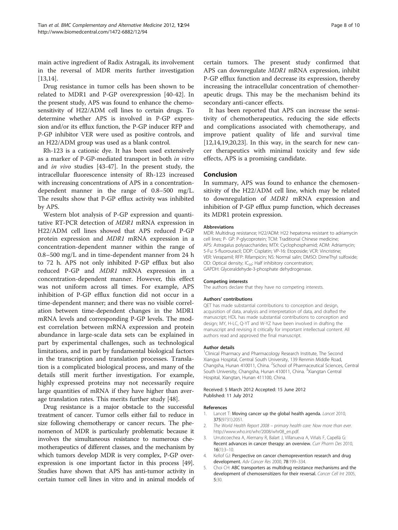<span id="page-7-0"></span>main active ingredient of Radix Astragali, its involvement in the reversal of MDR merits further investigation [[13,14](#page-8-0)].

Drug resistance in tumor cells has been shown to be related to MDR1 and P-GP overexpression [[40-42\]](#page-8-0). In the present study, APS was found to enhance the chemosensitivity of H22/ADM cell lines to certain drugs. To determine whether APS is involved in P-GP expression and/or its efflux function, the P-GP inducer RFP and P-GP inhibitor VER were used as positive controls, and an H22/ADM group was used as a blank control.

Rh-123 is a cationic dye. It has been used extensively as a marker of P-GP-mediated transport in both in vitro and in vivo studies [[43-47](#page-8-0)]. In the present study, the intracellular fluorescence intensity of Rh-123 increased with increasing concentrations of APS in a concentrationdependent manner in the range of 0.8–500 mg/L. The results show that P-GP efflux activity was inhibited by APS.

Western blot analysis of P-GP expression and quantitative RT-PCR detection of MDR1 mRNA expression in H22/ADM cell lines showed that APS reduced P-GP protein expression and MDR1 mRNA expression in a concentration-dependent manner within the range of 0.8–500 mg/L and in time-dependent manner from 24 h to 72 h. APS not only inhibited P-GP efflux but also reduced P-GP and MDR1 mRNA expression in a concentration-dependent manner. However, this effect was not uniform across all times. For example, APS inhibition of P-GP efflux function did not occur in a time-dependent manner; and there was no visible correlation between time-dependent changes in the MDR1 mRNA levels and corresponding P-GP levels. The modest correlation between mRNA expression and protein abundance in large-scale data sets can be explained in part by experimental challenges, such as technological limitations, and in part by fundamental biological factors in the transcription and translation processes. Translation is a complicated biological process, and many of the details still merit further investigation. For example, highly expressed proteins may not necessarily require large quantities of mRNA if they have higher than average translation rates. This merits further study [\[48](#page-8-0)].

Drug resistance is a major obstacle to the successful treatment of cancer. Tumor cells either fail to reduce in size following chemotherapy or cancer recurs. The phenomenon of MDR is particularly problematic because it involves the simultaneous resistance to numerous chemotherapeutics of different classes, and the mechanism by which tumors develop MDR is very complex, P-GP overexpression is one important factor in this process [\[49](#page-9-0)]. Studies have shown that APS has anti-tumor activity in certain tumor cell lines in vitro and in animal models of certain tumors. The present study confirmed that APS can downregulate MDR1 mRNA expression, inhibit P-GP efflux function and decrease its expression, thereby increasing the intracellular concentration of chemotherapeutic drugs. This may be the mechanism behind its secondary anti-cancer effects.

It has been reported that APS can increase the sensitivity of chemotherapeutics, reducing the side effects and complications associated with chemotherapy, and improve patient quality of life and survival time  $[12,14,19,20,23]$  $[12,14,19,20,23]$ . In this way, in the search for new cancer therapeutics with minimal toxicity and few side effects, APS is a promising candidate.

#### Conclusion

In summary, APS was found to enhance the chemosensitivity of the H22/ADM cell line, which may be related to downregulation of MDR1 mRNA expression and inhibition of P-GP efflux pump function, which decreases its MDR1 protein expression.

#### Abbreviations

MDR: Multidrug resistance; H22/ADM: H22 hepatoma resistant to adriamycin cell lines; P- GP: P-glycoprotein; TCM: Traditional Chinese medicine; APS: Astragalus polysaccharides; MTX: Cyclophosphamid; ADM: Adriamycin; 5-Fu: 5-fluorouracil; DDP: Cisplatin; VP-16: Etoposide; VCR: Vincristine; VER: Verapamil; RFP: Rifampicin; NS: Normal salin; DMSO: DimeThyl sulfoxide; OD: Optical density; IC<sub>50</sub>: Half inhibitory concentration; GAPDH: Glyceraldehyde-3-phosphate dehydrogenase.

#### Competing interests

The authors declare that they have no competing interests.

#### Authors' contributions

QET has made substantial contributions to conception and design, acquisition of data, analysis and interpretation of data, and drafted the manuscript; HDL has made substantial contributions to conception and design; MY, H-LC, Q-YT and W-YZ have been involved in drafting the manuscript and revising it critically for important intellectual content. All authors read and approved the final manuscript.

#### Author details

<sup>1</sup> Clinical Pharmacy and Pharmacology Research Institute, The Second Xiangya Hospital, Central South University, 139 Renmin Middle Road, Changsha, Hunan 410011, China. <sup>2</sup>School of Pharmaceutical Sciences, Central South University, Changsha, Hunan 410011, China. <sup>3</sup>Xiangtan Central Hospital, Xiangtan, Hunan 411100, China.

#### Received: 5 March 2012 Accepted: 15 June 2012 Published: 11 July 2012

#### References

- 1. Lancet T: Moving cancer up the global health agenda. Lancet 2010, 375(9731):2051.
- 2. The World Health Report 2008 primary health care: Now more than ever. http://www.who.int/whr/2008/whr08\_en.pdf.
- 3. Urruticoechea A, Alemany R, Balart J, Villanueva A, Viñals F, Capellá G: Recent advances in cancer therapy: an overview. Curr Pharm Des 2010, 16(1):3–10.
- 4. Kellof GJ: Perspective on cancer chemoprevention research and drug development. Adv Cancer Res 2000, 78:199–334.
- 5. Choi CH: ABC transporters as multidrug resistance mechanisms and the development of chemosensitizers for their reversal. Cancer Cell Int 2005, 5:30.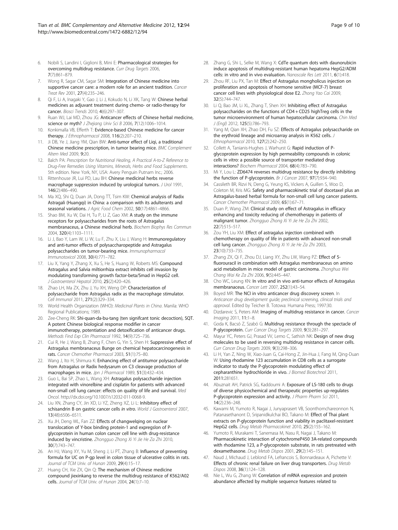- <span id="page-8-0"></span>Kobili S, Landini I, Giglioni B, Mini E: Pharmacological strategies for overcoming multidrug resistance. Curr Drug Targets 2006, 7(7):861–879.
- 7. Wong R, Sagar CM, Sagar SM: Integration of Chinese medicine into supportive cancer care: a modern role for an ancient tradition. Cancer Treat Rev 2001, 27(4):235–246.
- 8. Qi F, Li A, Inagaki Y, Gao J, Li J, Kokudo N, Li XK, Tang W: Chinese herbal medicines as adjuvant treatment during chemo- or radio-therapy for cancer. Biosci Trends 2010, 4(6):297–307.
- 9. Ruan WJ, Lai MD, Zhou JG: Anticancer effects of Chinese herbal medicine, science or myth? J Zhejiang Univ Sci B 2006, 7(12):1006-1014.
- 10. Konkimalla VB, Efferth T: Evidence-based Chinese medicine for cancer therapy. J Ethnopharmacol 2008, 116(2):207–210.
- 11. Ji DB, Ye J, Jiang YM, Qian BW: Anti-tumor effect of Liqi, a traditional Chinese medicine prescription, in tumor bearing mice. BMC Complement Altern Med 2009, 9:20.
- 12. Balch PA: Prescription for Nutritional Healing, A Practical A-to-Z Reference to Drug-Free Remedies Using Vitamins, Minerals, Herbs and Food Supplements. 5th edition. New York, NY, USA: Avery Penguin Putnam Inc.; 2006.
- 13. Rittenhouse JR, Lui PD, Lau BH: Chinese medicinal herbs reverse macrophage suppression induced by urological tumors. J Urol 1991, 146(2):486–490.
- 14. Ma XO, Shi Q, Duan JA, Dong TT, Tsim KW: Chemical analysis of Radix Astragali (Huangqi) in China: a comparison with its adulterants and seasonal variations. J Agric Food Chem 2002, 50(17):4861-4866.
- 15. Shao BM, Xu W, Dai H, Tu P, Li Z, Gao XM: A study on the immune receptors for polysaccharides from the roots of Astragalus membranaceus, a Chinese medicinal herb. Biochem Biophys Res Commun 2004, 320(4):1103–1111.
- 16. Li J, Bao Y, Lam W, Li W, Lu F, Zhu X, Liu J, Wang H: Immunoregulatory and anti-tumor effects of polysaccharopeptide and Astragalus polysaccharides on tumor-bearing mice. Immunopharmacol Immunotoxicol 2008, 30(4):771–782.
- 17. Liu X, Yang Y, Zhang X, Xu S, He S, Huang W, Roberts MS: Compound Astragalus and Salvia miltiorrhiza extract inhibits cell invasion by modulating transforming growth factor-beta/Smad in HepG2 cell. J Gastroenterol Hepatol 2010, 25(2):420–426.
- 18. Zhao LH, Ma ZX, Zhu J, Yu XH, Weng DP: Characterization of polysaccharide from Astragalus radix as the macrophage stimulator. Cell Immunol 2011, 271(2):329–334.
- 19. World Health Organization (WHO): Medicinal Plants in China. Manila: WHO Regional Publications; 1989.
- 20. Zee-Cheng RK: Shi-quan-da-bu-tang (ten signifcant tonic decoction), SQT. A potent Chinese biological response modifier in cancer immunotherapy, potentiation and detoxification of anticancer drugs. Methods Find Exp Clin Pharmacol 1992, 14(9):725–736.
- 21. Cui R, He J, Wang B, Zhang F, Chen G, Yin S, Shen H: Suppressive effect of Astragalus membranaceus Bunge on chemical hepatocarcinogenesis in rats. Cancer Chemother Pharmacol 2003, 51(1):75–80.
- 22. Wang J, Ito H, Shimura K: Enhancing effect of antitumor polysaccharide from Astragalus or Radix hedysarum on C3 cleavage production of macrophages in mice. Jpn J Pharmacol 1989, 51(3):432-434.
- 23. Guo L, Bai SP, Zhao L, Wang XH: Astragalus polysaccharide injection integrated with vinorelbine and cisplatin for patients with advanced non-small cell lung cancer: effects on quality of life and survival. Med Oncol. http://dx.doi.org/10.1007/s12032-011-0068-9.
- 24. Liu XN, Zhang CY, Jin XD, Li YZ, Zheng XZ, Li L: Inhibitory effect of schisandrin B on gastric cancer cells in vitro. World J Gastroenterol 2007, 13(48):6506–6511.
- 25. Xu JH, Deng WL, Fan ZZ: Effects of changwelqing on nuclear translocation of Y-box binding protein-1 and expregslon of Pglycoprotein in human colon cancer cell line with drug-resistance induced by vincristine. Zhongguo Zhong Xi Yi Jie He Za Zhi 2010, 30(7):743–747.
- 26. An HJ, Wang XY, Yu M, Sheng J, Li PT, Zhang B: Influence of preventing formula for UC on P-gp level in colon tissue of ulcerative colitis in rats. Journal of TCM Univ. of Hunan 2009, 29(4):15–17.
- 27. Huang CH, Xie ZX, Qin Q: The mechanism of Chinese medicine compound jiexinkang to reverse the multidrug resistance of K562/A02 cells. Journal of TCM Univ. of Hunan 2004, 24(1):7–10.
- 28. Zhang G, Shi L, Selke M, Wang X: CdTe quantum dots with daunorubicin induce apoptosis of multidrug-resistant human hepatoma HepG2/ADM cells: in vitro and in vivo evaluation. Nanoscale Res Lett 2011, 6(1):418.
- 29. Zhou RF, Liu PX, Tan M: Effect of Astragalus mongholicus injection on proliferation and apoptosis of hormone sensitive (MCF-7) breast cancer cell lines with physiological dose E2. Zhong Yao Cai 2009, 32(5):744–747.
- 30. Li Q, Bao JM, Li XL, Zhang T, Shen XH: Inhibiting effect of Astragalus polysaccharides on the functions of CD4 + CD25 highTreg cells in the tumor microenvironment of human hepatocellular carcinoma. Chin Med J (Engl) 2012, 125(5):786–793.
- 31. Yang M, Qian XH, Zhao DH, Fu SZ: Effects of Astragalus polysaccharide on the erythroid lineage and microarray analysis in K562 cells. J Ethnopharmacol 2010, 127(2):242–250.
- 32. Collett A, Tanianis-Hughes J, Warhurst G: Rapid induction of Pglycoprotein expression by high permeability compounds in colonic cells in vitro: a possible source of transporter mediated drug interactions? Biochem Pharmacol 2004, 68(4):783–790.
- 33. Mi Y, Lou L: ZD6474 reverses multidrug resistance by directly inhibiting the function of P-glycoprotein. Br J Cancer 2007, 97(7):934-940.
- 34. Cassileth BR, Rizvi N, Deng G, Yeung KS, Vickers A, Guillen S, Woo D, Coleton M, Kris MG: Safety and pharmacokinetic trial of docetaxel plus an Astragalus-based herbal formula for non-small cell lung cancer patients. Cancer Chemother Pharmacol 2009, 65(1):67–71.
- 35. Duan P, Wang ZM: Clinical study on effect of Astragalus in efficacy enhancing and toxicity reducing of chemotherapy in patients of malignant tumor. Zhongguo Zhong Xi Yi Jie He Za Zhi 2002, 22(7):515–517.
- 36. Zou YH, Liu XM: Effect of astragalus injection combined with chemotherapy on quality of life in patients with advanced non-small cell lung cancer. Zhongguo Zhong Xi Yi Jie He Za Zhi 2003, 23(10):733–735.
- 37. Zhang ZX, Qi F, Zhou DJ, Liang XY, Zhu LW, Wang PZ: Effect of 5fluorouracil in combination with Astragalus membranaceus on amino acid metabolism in mice model of gastric carcinoma. Zhonghua Wei Chang Wai Ke Za Zhi 2006, 9(5):445–447.
- 38. Cho WC, Leung KN: In vitro and in vivo anti-tumor effects of Astragalus membranaceus. Cancer Lett 2007, 252(1):43–54.
- 39. Boyed MR: The NCI in vitro anticancer drug discovery screen. In Anticancer drug development guide; preclinical screening, clinical trials and approval. Edited by Teicher B. Totowa: Humana Press; 1997:30.
- 40. Dizdarevic S, Peters AM: Imaging of multidrug resistance in cancer. Cancer Imaging 2011, 11:1–8.
- 41. Goda K, Bacsó Z, Szabó G: Multidrug resistance through the spectacle of P-glycoprotein. Curr Cancer Drug Targets 2009, 9(3):281–297.
- 42. Mayur YC, Peters GJ, Prasad W, Lemo C, Sathish NK: Design of new drug molecules to be used in reversing multidrug resistance in cancer cells. Curr Cancer Drug Targets 2009, 9(3):298–306.
- 43. Li H, Yan Z, Ning W, Xiao-Juan G, Cai-Hong Z, Jin-Hua J, Fang M, Qing-Duan W: Using rhodamine 123 accumulation in CD8 cells as a surrogate indicator to study the P-glycoprotein modulating effect of cepharanthine hydrochloride in vivo. J Biomed Biotechnol 2011, 2011:281651.
- 44. Abuznait AH, Patrick SG, Kaddoumi A: Exposure of LS-180 cells to drugs of diverse physicochemical and therapeutic properties up-regulates P-glycoprotein expression and activity. J Pharm Pharm Sci 2011, 14(2):236–248.
- 45. Kawami M, Yumoto R, Nagai J, Junyaprasert VB, Soonthornchareonnon N, Patanasethanont D, Sripanidkulchai BO, Takano M: Effect of Thai plant extracts on P-glycoprotein function and viability in paclitaxel-resistant HepG2 cells. Drug Metab Pharmacokinet 2010, 25(2):155–162.
- 46. Yumoto R, Murakami T, Sanemasa M, Nasu R, Nagai J, Takano M: Pharmacokinetic interaction of cytochromeP450 3A-related compounds with rhodamine 123, a P-glycoprotein substrate, in rats pretreated with dexamethasone. Drug Metab Dispos 2001, 29(2):145–151.
- 47. Naud J, Michaud J, Leblond FA, Lefrancois S, Bonnardeaux A, Pichette V: Effects of chronic renal failure on liver drug transporters. Drug Metab Dispos 2008, 36(1):124–128.
- 48. Nie L, Wu G, Zhang W: Correlation of mRNA expression and protein abundance affected by multiple sequence features related to